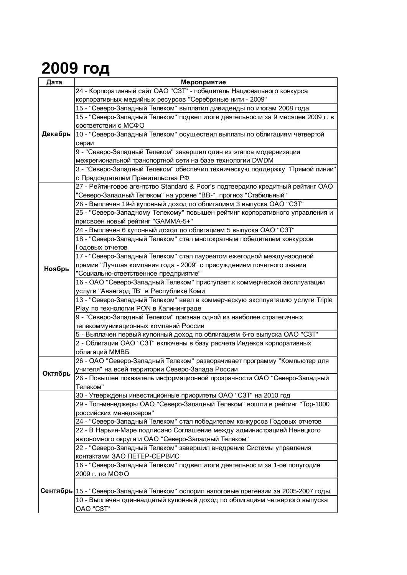## **2009 год**

| Дата    | Мероприятие                                                                           |
|---------|---------------------------------------------------------------------------------------|
|         | 24 - Корпоративный сайт ОАО "СЗТ" - победитель Национального конкурса                 |
| Декабрь | корпоративных медийных ресурсов "Серебряные нити - 2009"                              |
|         | 15 - "Северо-Западный Телеком" выплатил дивиденды по итогам 2008 года                 |
|         | 15 - "Северо-Западный Телеком" подвел итоги деятельности за 9 месяцев 2009 г. в       |
|         | соответствии с МСФО                                                                   |
|         | 10 - "Северо-Западный Телеком" осуществил выплаты по облигациям четвертой             |
|         | серии                                                                                 |
|         | 9 - "Северо-Западный Телеком" завершил один из этапов модернизации                    |
|         | межрегиональной транспортной сети на базе технологии DWDM                             |
|         | 3 - "Северо-Западный Телеком" обеспечил техническую поддержку "Прямой линии"          |
|         | с Председателем Правительства РФ                                                      |
|         | 27 - Рейтинговое агентство Standard & Poor's подтвердило кредитный рейтинг ОАО        |
|         | "Северо-Западный Телеком" на уровне "ВВ-", прогноз "Стабильный"                       |
|         | 26 - Выплачен 19-й купонный доход по облигациям 3 выпуска ОАО "СЗТ"                   |
|         | 25 - "Северо-Западному Телекому" повышен рейтинг корпоративного управления и          |
|         | присвоен новый рейтинг "GAMMA-5+"                                                     |
|         | 24 - Выплачен 6 купонный доход по облигациям 5 выпуска ОАО "СЗТ"                      |
|         | 18 - "Северо-Западный Телеком" стал многократным победителем конкурсов                |
|         | Годовых отчетов                                                                       |
|         | 17 - "Северо-Западный Телеком" стал лауреатом ежегодной международной                 |
| Ноябрь  | премии "Лучшая компания года - 2009" с присуждением почетного звания                  |
|         | "Социально-ответственное предприятие"                                                 |
|         | 16 - ОАО "Северо-Западный Телеком" приступает к коммерческой эксплуатации             |
|         | услуги "Авангард ТВ" в Республике Коми                                                |
|         | 13 - "Северо-Западный Телеком" ввел в коммерческую эксплуатацию услуги Triple         |
|         | Play по технологии PON в Калининграде                                                 |
|         | 9 - "Северо-Западный Телеком" признан одной из наиболее стратегичных                  |
|         | телекоммуникационных компаний России                                                  |
|         | 5 - Выплачен первый купонный доход по облигациям 6-го выпуска ОАО "СЗТ"               |
|         | 2 - Облигации ОАО "СЗТ" включены в базу расчета Индекса корпоративных                 |
|         | облигаций ММВБ                                                                        |
| Октябрь | 26 - ОАО "Северо-Западный Телеком" разворачивает программу "Компьютер для             |
|         | учителя" на всей территории Северо-Запада России                                      |
|         | 26 - Повышен показатель информационной прозрачности ОАО "Северо-Западный              |
|         | Телеком"                                                                              |
|         | 30 - Утверждены инвестиционные приоритеты ОАО "СЗТ" на 2010 год                       |
|         | 29 - Топ-менеджеры ОАО "Северо-Западный Телеком" вошли в рейтинг "Тор-1000            |
|         | российских менеджеров"                                                                |
|         | 24 - "Северо-Западный Телеком" стал победителем конкурсов Годовых отчетов             |
|         | 22 - В Нарьян-Маре подписано Соглашение между администрацией Ненецкого                |
|         | автономного округа и ОАО "Северо-Западный Телеком"                                    |
|         | 22 - "Северо-Западный Телеком" завершил внедрение Системы управления                  |
|         | контактами ЗАО ПЕТЕР-СЕРВИС                                                           |
|         | 16 - "Северо-Западный Телеком" подвел итоги деятельности за 1-ое полугодие            |
|         | 2009 г. по МСФО                                                                       |
|         |                                                                                       |
|         | Сентябрь 15 - "Северо-Западный Телеком" оспорил налоговые претензии за 2005-2007 годы |
|         | 10 - Выплачен одиннадцатый купонный доход по облигациям четвертого выпуска            |
|         | OAO "C3T"                                                                             |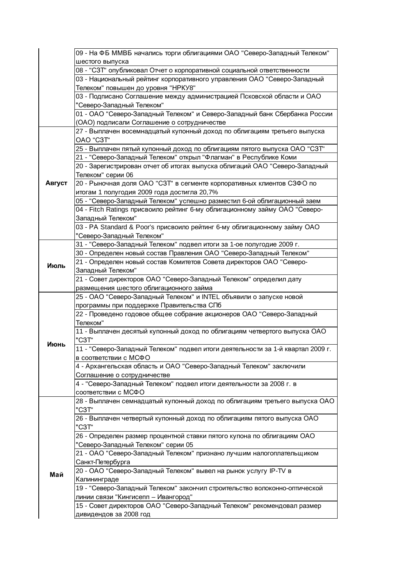|        | 09 - На ФБ ММВБ начались торги облигациями ОАО "Северо-Западный Телеком"                                     |
|--------|--------------------------------------------------------------------------------------------------------------|
|        | шестого выпуска                                                                                              |
|        | 08 - "СЗТ" опубликовал Отчет о корпоративной социальной ответственности                                      |
|        | 03 - Национальный рейтинг корпоративного управления ОАО "Северо-Западный                                     |
|        | Телеком" повышен до уровня "НРКУ8"<br>03 - Подписано Соглашение между администрацией Псковской области и ОАО |
|        | "Северо-Западный Телеком"                                                                                    |
|        | 01 - ОАО "Северо-Западный Телеком" и Северо-Западный банк Сбербанка России                                   |
|        | (ОАО) подписали Соглашение о сотрудничестве                                                                  |
|        | 27 - Выплачен восемнадцатый купонный доход по облигациям третьего выпуска                                    |
|        | OAO "C3T"                                                                                                    |
|        | 25 - Выплачен пятый купонный доход по облигациям пятого выпуска ОАО "СЗТ"                                    |
|        | 21 - "Северо-Западный Телеком" открыл "Флагман" в Республике Коми                                            |
|        | 20 - Зарегистрирован отчет об итогах выпуска облигаций ОАО "Северо-Западный                                  |
|        | Телеком" серии 06                                                                                            |
| Август | 20 - Рыночная доля ОАО "СЗТ" в сегменте корпоративных клиентов СЗФО по                                       |
|        | итогам 1 полугодия 2009 года достигла 20,7%                                                                  |
|        | 05 - "Северо-Западный Телеком" успешно разместил 6-ой облигационный заем                                     |
|        | 04 - Fitch Ratings присвоило рейтинг 6-му облигационному займу ОАО "Северо-                                  |
|        | Западный Телеком"                                                                                            |
|        | 03 - PA Standard & Poor's присвоило рейтинг 6-му облигационному займу ОАО                                    |
|        | "Северо-Западный Телеком"                                                                                    |
|        | 31 - "Северо-Западный Телеком" подвел итоги за 1-ое полугодие 2009 г.                                        |
|        | 30 - Определен новый состав Правления ОАО "Северо-Западный Телеком"                                          |
| Июль   | 21 - Определен новый состав Комитетов Совета директоров ОАО "Северо-                                         |
|        | Западный Телеком"                                                                                            |
|        | 21 - Совет директоров ОАО "Северо-Западный Телеком" определил дату                                           |
|        | размещения шестого облигационного займа                                                                      |
|        | 25 - ОАО "Северо-Западный Телеком" и INTEL объявили о запуске новой                                          |
|        | программы при поддержке Правительства СПб                                                                    |
|        | 22 - Проведено годовое общее собрание акционеров ОАО "Северо-Западный<br>Телеком"                            |
|        | 11 - Выплачен десятый купонный доход по облигациям четвертого выпуска ОАО                                    |
|        | "C3T"                                                                                                        |
| Июнь   | 11 - "Северо-Западный Телеком" подвел итоги деятельности за 1-й квартал 2009 г.                              |
|        | в соответствии с МСФО                                                                                        |
|        | 4 - Архангельская область и ОАО "Северо-Западный Телеком" заключили                                          |
|        | Соглашение о сотрудничестве                                                                                  |
|        | 4 - "Северо-Западный Телеком" подвел итоги деятельности за 2008 г. в                                         |
|        | соответствии с МСФО                                                                                          |
|        | 28 - Выплачен семнадцатый купонный доход по облигациям третьего выпуска ОАО                                  |
|        | "C3T"                                                                                                        |
|        | 26 - Выплачен четвертый купонный доход по облигациям пятого выпуска ОАО                                      |
|        | "C3T"                                                                                                        |
|        | 26 - Определен размер процентной ставки пятого купона по облигациям ОАО                                      |
|        | "Северо-Западный Телеком" серии 05                                                                           |
|        | 21 - ОАО "Северо-Западный Телеком" признано лучшим налогоплательщиком                                        |
|        | Санкт-Петербурга                                                                                             |
| Май    | 20 - ОАО "Северо-Западный Телеком" вывел на рынок услугу IP-TV в<br>Калининграде                             |
|        | 19 - "Северо-Западный Телеком" закончил строительство волоконно-оптической                                   |
|        | линии связи "Кингисепп - Ивангород"                                                                          |
|        | 15 - Совет директоров ОАО "Северо-Западный Телеком" рекомендовал размер                                      |
|        | дивидендов за 2008 год                                                                                       |
|        |                                                                                                              |